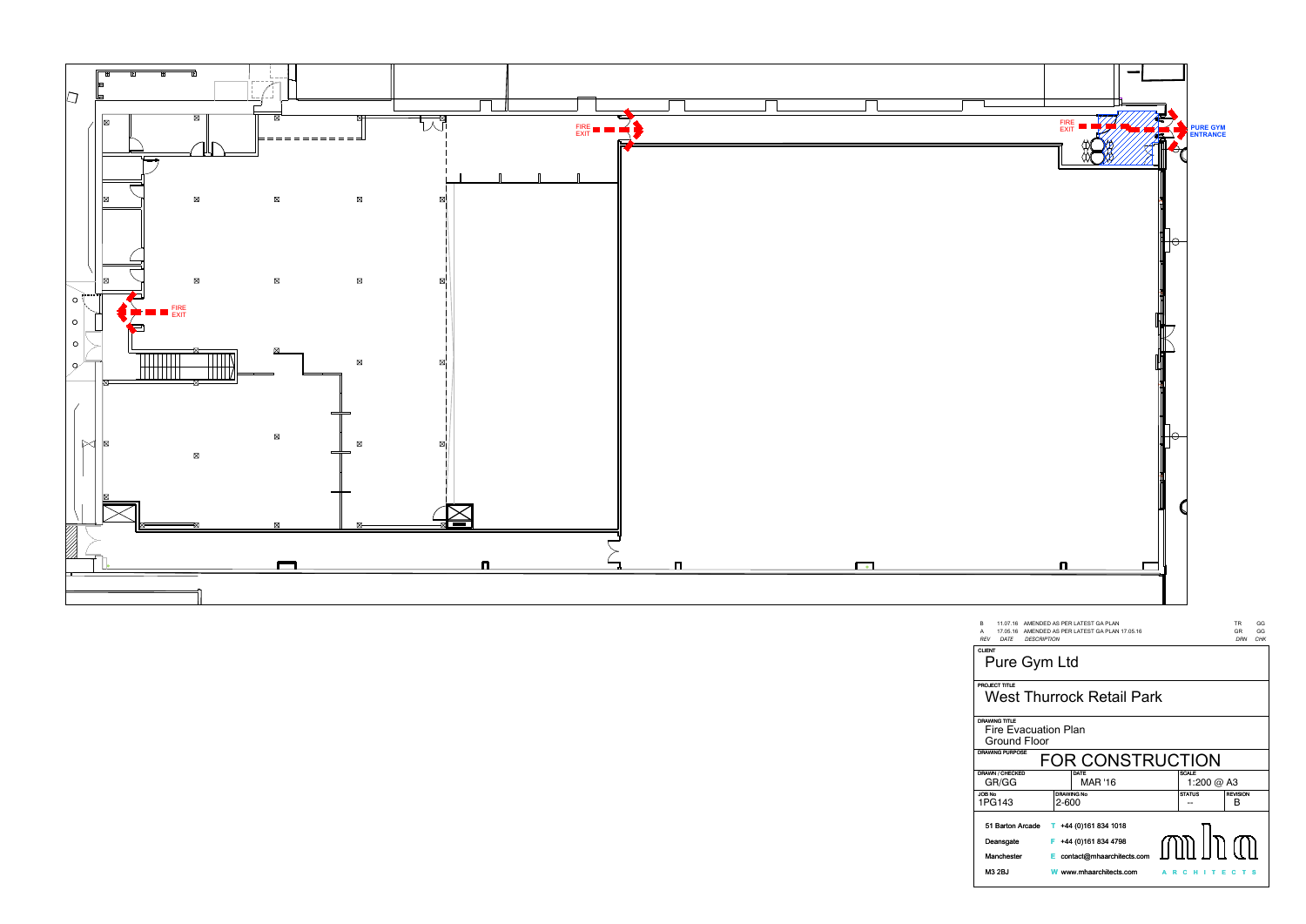

| A<br>RE              |  |
|----------------------|--|
| CLI                  |  |
| <b>PRC</b>           |  |
| DR/<br>Ì             |  |
| DR/                  |  |
| $\overline{DR}$<br>l |  |
| JOE<br>1 F           |  |
| ļ                    |  |
| I                    |  |
| i                    |  |
| I                    |  |